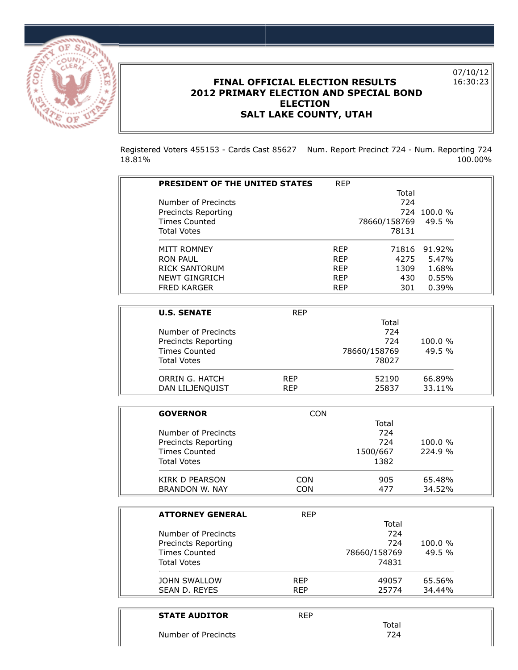

## **FINAL OFFICIAL ELECTION RESULTS 2012 PRIMARY ELECTION AND SPECIAL BOND ELECTION SALT LAKE COUNTY, UTAH**

07/10/12 16:30:23

Registered Voters 455153 - Cards Cast 85627 Num. Report Precinct 724 - Num. Reporting 724 18.81% 100.00%

| <b>PRESIDENT OF THE UNITED STATES</b> | <b>REP</b> |              |            |
|---------------------------------------|------------|--------------|------------|
|                                       |            | Total        |            |
| Number of Precincts                   |            | 724          |            |
| Precincts Reporting                   |            | 724          | $100.0 \%$ |
| Times Counted                         |            | 78660/158769 | $49.5\%$   |
| <b>Total Votes</b>                    |            | 78131        |            |
| MITT ROMNEY                           | <b>RFP</b> | 71816        | 91.92%     |
| RON PAUL                              | <b>RFP</b> | 4275         | 5.47%      |
| RICK SANTORUM                         | <b>RFP</b> | 1309         | 1.68%      |
| NEWT GINGRICH                         | <b>RFP</b> | 430          | 0.55%      |
| <b>FRED KARGER</b>                    | <b>RFP</b> | 301          | 0.39%      |

| <b>U.S. SENATE</b>   | <b>RFP</b> |              |        |
|----------------------|------------|--------------|--------|
|                      |            | Total        |        |
| Number of Precincts  |            | 724          |        |
| Precincts Reporting  |            | 724          | 100.0% |
| <b>Times Counted</b> |            | 78660/158769 | 49.5%  |
| <b>Total Votes</b>   |            | 78027        |        |
| ORRIN G. HATCH       | <b>RFP</b> | 52190        | 66.89% |
| DAN LILJENQUIST      | <b>RFP</b> | 25837        | 33.11% |

| <b>GOVERNOR</b><br><b>CON</b><br>Total<br>724<br>Number of Precincts<br>724<br>Precincts Reporting<br><b>Times Counted</b><br>1500/667<br><b>Total Votes</b><br>1382<br>KIRK D PEARSON<br>CON<br>905 |  |            |
|------------------------------------------------------------------------------------------------------------------------------------------------------------------------------------------------------|--|------------|
|                                                                                                                                                                                                      |  |            |
|                                                                                                                                                                                                      |  |            |
|                                                                                                                                                                                                      |  |            |
|                                                                                                                                                                                                      |  | $100.0 \%$ |
|                                                                                                                                                                                                      |  | 224.9%     |
|                                                                                                                                                                                                      |  |            |
|                                                                                                                                                                                                      |  | 65.48%     |
| BRANDON W. NAY<br>CON<br>477                                                                                                                                                                         |  | 34.52%     |

| <b>RFP</b> |              |         |
|------------|--------------|---------|
|            | Total        |         |
|            | 724          |         |
|            | 724          | 100.0 % |
|            | 78660/158769 | 49.5%   |
|            | 74831        |         |
| <b>RFP</b> | 49057        | 65.56%  |
| <b>RFP</b> | 25774        | 34.44%  |
|            |              |         |

| <b>STATE AUDITOR</b> | <b>REP</b> |       |
|----------------------|------------|-------|
|                      |            | Total |
| Number of Precincts  |            | 724   |
|                      |            |       |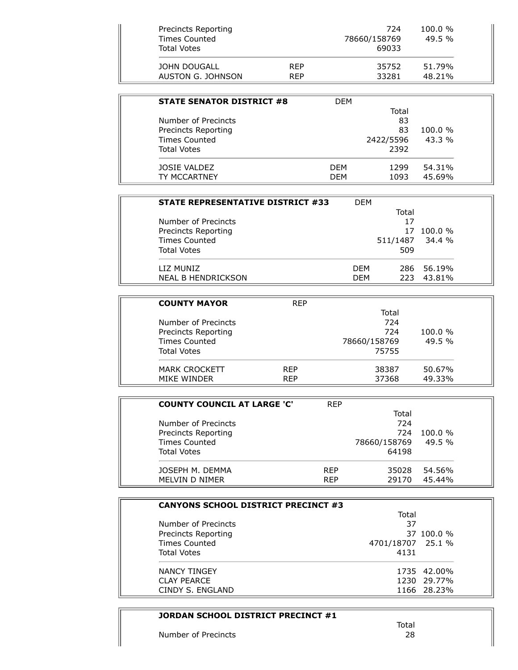| <b>STATE SENATOR DISTRICT #8</b> | <b>DFM</b> |           |            |
|----------------------------------|------------|-----------|------------|
|                                  |            | Total     |            |
| Number of Precincts              |            | 83        |            |
| Precincts Reporting              |            | 83        | $100.0 \%$ |
| <b>Times Counted</b>             |            | 2422/5596 | $43.3\%$   |
| <b>Total Votes</b>               |            | 2392      |            |
| JOSIE VALDEZ                     | <b>DFM</b> | 1299      | 54.31%     |
| TY MCCARTNEY                     | DFM        | 1093      | 45.69%     |

| <b>STATE REPRESENTATIVE DISTRICT #33</b> | <b>DFM</b> |       |                 |  |
|------------------------------------------|------------|-------|-----------------|--|
|                                          |            | Total |                 |  |
| Number of Precincts                      |            | 17    |                 |  |
| Precincts Reporting                      |            | 17    | $100.0\%$       |  |
| <b>Times Counted</b>                     |            |       | 511/1487 34.4 % |  |
| <b>Total Votes</b>                       |            | 509   |                 |  |
| LIZ MUNIZ                                | <b>DFM</b> |       | 286 56.19%      |  |
| <b>NEAL B HENDRICKSON</b>                | <b>DEM</b> | 223   | 43.81%          |  |

| <b>COUNTY MAYOR</b>  | <b>RFP</b> |              |            |  |
|----------------------|------------|--------------|------------|--|
|                      |            | Total        |            |  |
| Number of Precincts  |            | 724          |            |  |
| Precincts Reporting  |            | 724          | $100.0 \%$ |  |
| <b>Times Counted</b> |            | 78660/158769 | 49.5 %     |  |
| <b>Total Votes</b>   |            | 75755        |            |  |
| <b>MARK CROCKETT</b> | <b>RFP</b> | 38387        | 50.67%     |  |
| MIKE WINDER          | <b>RFP</b> | 37368        | 49.33%     |  |

| <b>COUNTY COUNCIL AT LARGE 'C'</b> | <b>RFP</b> |              |            |
|------------------------------------|------------|--------------|------------|
|                                    |            | Total        |            |
| Number of Precincts                |            | 724          |            |
| Precincts Reporting                |            | 724          | $100.0 \%$ |
| <b>Times Counted</b>               |            | 78660/158769 | 49.5%      |
| <b>Total Votes</b>                 |            | 64198        |            |
| JOSEPH M. DEMMA                    | <b>RFP</b> | 35028        | 54.56%     |
| MELVIN D NIMER                     | <b>RFP</b> | 29170        | 45.44%     |

| <b>CANYONS SCHOOL DISTRICT PRECINCT #3</b> |                   |
|--------------------------------------------|-------------------|
|                                            | Total             |
| Number of Precincts                        | 37                |
| Precincts Reporting                        | 37 100.0 %        |
| <b>Times Counted</b>                       | 4701/18707 25.1 % |
| <b>Total Votes</b>                         | 4131              |
| <b>NANCY TINGEY</b>                        | 1735 42.00%       |
| <b>CLAY PEARCE</b>                         | 1230 29.77%       |
| CINDY S. ENGLAND                           | 1166 28.23%       |

## **JORDAN SCHOOL DISTRICT PRECINCT #1**

Number of Precincts